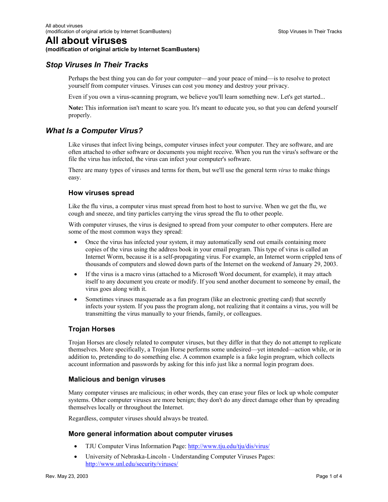# **All about viruses**

#### **(modification of original article by Internet ScamBusters)**

# *Stop Viruses In Their Tracks*

Perhaps the best thing you can do for your computer—and your peace of mind—is to resolve to protect yourself from computer viruses. Viruses can cost you money and destroy your privacy.

Even if you own a virus-scanning program, we believe you'll learn something new. Let's get started...

**Note:** This information isn't meant to scare you. It's meant to educate you, so that you can defend yourself properly.

# *What Is a Computer Virus?*

Like viruses that infect living beings, computer viruses infect your computer. They are software, and are often attached to other software or documents you might receive. When you run the virus's software or the file the virus has infected, the virus can infect your computer's software.

There are many types of viruses and terms for them, but we'll use the general term *virus* to make things easy.

## **How viruses spread**

Like the flu virus, a computer virus must spread from host to host to survive. When we get the flu, we cough and sneeze, and tiny particles carrying the virus spread the flu to other people.

With computer viruses, the virus is designed to spread from your computer to other computers. Here are some of the most common ways they spread:

- Once the virus has infected your system, it may automatically send out emails containing more copies of the virus using the address book in your email program. This type of virus is called an Internet Worm, because it is a self-propagating virus. For example, an Internet worm crippled tens of thousands of computers and slowed down parts of the Internet on the weekend of January 29, 2003.
- If the virus is a macro virus (attached to a Microsoft Word document, for example), it may attach itself to any document you create or modify. If you send another document to someone by email, the virus goes along with it.
- Sometimes viruses masquerade as a fun program (like an electronic greeting card) that secretly infects your system. If you pass the program along, not realizing that it contains a virus, you will be transmitting the virus manually to your friends, family, or colleagues.

# **Trojan Horses**

Trojan Horses are closely related to computer viruses, but they differ in that they do not attempt to replicate themselves. More specifically, a Trojan Horse performs some undesired—yet intended—action while, or in addition to, pretending to do something else. A common example is a fake login program, which collects account information and passwords by asking for this info just like a normal login program does.

## **Malicious and benign viruses**

Many computer viruses are malicious; in other words, they can erase your files or lock up whole computer systems. Other computer viruses are more benign; they don't do any direct damage other than by spreading themselves locally or throughout the Internet.

Regardless, computer viruses should always be treated.

## **More general information about computer viruses**

- TJU Computer Virus Information Page: http://www.tju.edu/tju/dis/virus/
- University of Nebraska-Lincoln Understanding Computer Viruses Pages: http://www.unl.edu/security/viruses/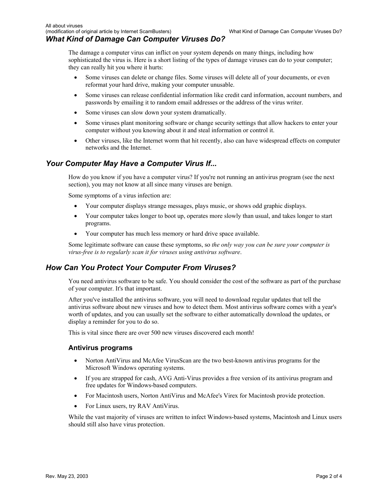The damage a computer virus can inflict on your system depends on many things, including how sophisticated the virus is. Here is a short listing of the types of damage viruses can do to your computer; they can really hit you where it hurts:

- Some viruses can delete or change files. Some viruses will delete all of your documents, or even reformat your hard drive, making your computer unusable.
- Some viruses can release confidential information like credit card information, account numbers, and passwords by emailing it to random email addresses or the address of the virus writer.
- Some viruses can slow down your system dramatically.
- Some viruses plant monitoring software or change security settings that allow hackers to enter your computer without you knowing about it and steal information or control it.
- Other viruses, like the Internet worm that hit recently, also can have widespread effects on computer networks and the Internet.

# *Your Computer May Have a Computer Virus If...*

How do you know if you have a computer virus? If you're not running an antivirus program (see the next section), you may not know at all since many viruses are benign.

Some symptoms of a virus infection are:

- Your computer displays strange messages, plays music, or shows odd graphic displays.
- Your computer takes longer to boot up, operates more slowly than usual, and takes longer to start programs.
- Your computer has much less memory or hard drive space available.

Some legitimate software can cause these symptoms, so *the only way you can be sure your computer is virus-free is to regularly scan it for viruses using antivirus software*.

# *How Can You Protect Your Computer From Viruses?*

You need antivirus software to be safe. You should consider the cost of the software as part of the purchase of your computer. It's that important.

After you've installed the antivirus software, you will need to download regular updates that tell the antivirus software about new viruses and how to detect them. Most antivirus software comes with a year's worth of updates, and you can usually set the software to either automatically download the updates, or display a reminder for you to do so.

This is vital since there are over 500 new viruses discovered each month!

## **Antivirus programs**

- Norton AntiVirus and McAfee VirusScan are the two best-known antivirus programs for the Microsoft Windows operating systems.
- If you are strapped for cash, AVG Anti-Virus provides a free version of its antivirus program and free updates for Windows-based computers.
- For Macintosh users, Norton AntiVirus and McAfee's Virex for Macintosh provide protection.
- For Linux users, try RAV AntiVirus.

While the vast majority of viruses are written to infect Windows-based systems, Macintosh and Linux users should still also have virus protection.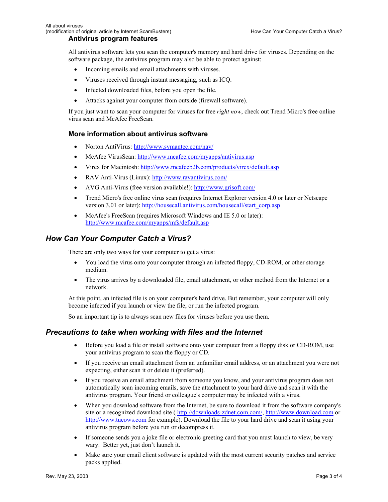#### **Antivirus program features**

All antivirus software lets you scan the computer's memory and hard drive for viruses. Depending on the software package, the antivirus program may also be able to protect against:

- Incoming emails and email attachments with viruses.
- Viruses received through instant messaging, such as ICQ.
- Infected downloaded files, before you open the file.
- Attacks against your computer from outside (firewall software).

If you just want to scan your computer for viruses for free *right now*, check out Trend Micro's free online virus scan and McAfee FreeScan.

#### **More information about antivirus software**

- Norton AntiVirus: http://www.symantec.com/nav/
- McAfee VirusScan: http://www.mcafee.com/myapps/antivirus.asp
- Virex for Macintosh: http://www.mcafeeb2b.com/products/virex/default.asp
- RAV Anti-Virus (Linux): http://www.ravantivirus.com/
- AVG Anti-Virus (free version available!): http://www.grisoft.com/
- Trend Micro's free online virus scan (requires Internet Explorer version 4.0 or later or Netscape version 3.01 or later): http://housecall.antivirus.com/housecall/start\_corp.asp
- McAfee's FreeScan (requires Microsoft Windows and IE 5.0 or later): http://www.mcafee.com/myapps/mfs/default.asp

## *How Can Your Computer Catch a Virus?*

There are only two ways for your computer to get a virus:

- You load the virus onto your computer through an infected floppy, CD-ROM, or other storage medium.
- The virus arrives by a downloaded file, email attachment, or other method from the Internet or a network.

At this point, an infected file is on your computer's hard drive. But remember, your computer will only become infected if you launch or view the file, or run the infected program.

So an important tip is to always scan new files for viruses before you use them.

## *Precautions to take when working with files and the Internet*

- Before you load a file or install software onto your computer from a floppy disk or CD-ROM, use your antivirus program to scan the floppy or CD.
- If you receive an email attachment from an unfamiliar email address, or an attachment you were not expecting, either scan it or delete it (preferred).
- If you receive an email attachment from someone you know, and your antivirus program does not automatically scan incoming emails, save the attachment to your hard drive and scan it with the antivirus program. Your friend or colleague's computer may be infected with a virus.
- When you download software from the Internet, be sure to download it from the software company's site or a recognized download site ( http://downloads-zdnet.com.com/, http://www.download.com or http://www.tucows.com for example). Download the file to your hard drive and scan it using your antivirus program before you run or decompress it.
- If someone sends you a joke file or electronic greeting card that you must launch to view, be very wary. Better yet, just don't launch it.
- Make sure your email client software is updated with the most current security patches and service packs applied.